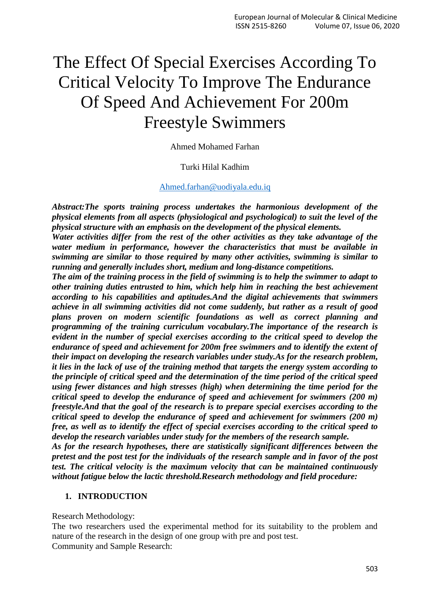# The Effect Of Special Exercises According To Critical Velocity To Improve The Endurance Of Speed And Achievement For 200m Freestyle Swimmers

Ahmed Mohamed Farhan

### Turki Hilal Kadhim

#### [Ahmed.farhan@uodiyala.edu.iq](mailto:Ahmed.farhan@uodiyala.edu.iq)

*Abstract:The sports training process undertakes the harmonious development of the physical elements from all aspects (physiological and psychological) to suit the level of the physical structure with an emphasis on the development of the physical elements.*

*Water activities differ from the rest of the other activities as they take advantage of the water medium in performance, however the characteristics that must be available in swimming are similar to those required by many other activities, swimming is similar to running and generally includes short, medium and long-distance competitions.*

*The aim of the training process in the field of swimming is to help the swimmer to adapt to other training duties entrusted to him, which help him in reaching the best achievement according to his capabilities and aptitudes.And the digital achievements that swimmers achieve in all swimming activities did not come suddenly, but rather as a result of good plans proven on modern scientific foundations as well as correct planning and programming of the training curriculum vocabulary.The importance of the research is evident in the number of special exercises according to the critical speed to develop the endurance of speed and achievement for 200m free swimmers and to identify the extent of their impact on developing the research variables under study.As for the research problem, it lies in the lack of use of the training method that targets the energy system according to the principle of critical speed and the determination of the time period of the critical speed using fewer distances and high stresses (high) when determining the time period for the critical speed to develop the endurance of speed and achievement for swimmers (200 m) freestyle.And that the goal of the research is to prepare special exercises according to the critical speed to develop the endurance of speed and achievement for swimmers (200 m) free, as well as to identify the effect of special exercises according to the critical speed to develop the research variables under study for the members of the research sample.*

*As for the research hypotheses, there are statistically significant differences between the pretest and the post test for the individuals of the research sample and in favor of the post test. The critical velocity is the maximum velocity that can be maintained continuously without fatigue below the lactic threshold.Research methodology and field procedure:*

### **1. INTRODUCTION**

Research Methodology:

The two researchers used the experimental method for its suitability to the problem and nature of the research in the design of one group with pre and post test. Community and Sample Research: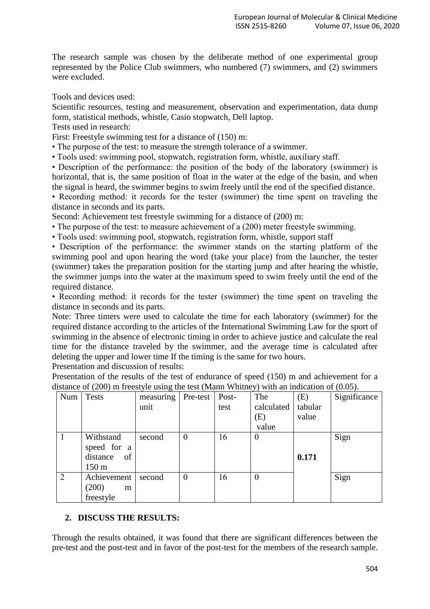The research sample was chosen by the deliberate method of one experimental group represented by the Police Club swimmers, who numbered (7) swimmers, and (2) swimmers were excluded.

Tools and devices used:

Scientific resources, testing and measurement, observation and experimentation, data dump form, statistical methods, whistle, Casio stopwatch, Dell laptop.

Tests used in research:

First: Freestyle swimming test for a distance of  $(150)$  m:

• The purpose of the test: to measure the strength tolerance of a swimmer.

• Tools used: swimming pool, stopwatch, registration form, whistle, auxiliary staff.

• Description of the performance: the position of the body of the laboratory (swimmer) is horizontal, that is, the same position of float in the water at the edge of the basin, and when the signal is heard, the swimmer begins to swim freely until the end of the specified distance.

• Recording method: it records for the tester (swimmer) the time spent on traveling the distance in seconds and its parts.

Second: Achievement test freestyle swimming for a distance of (200) m:

• The purpose of the test: to measure achievement of a (200) meter freestyle swimming.

• Tools used: swimming pool, stopwatch, registration form, whistle, support staff

• Description of the performance: the swimmer stands on the starting platform of the swimming pool and upon hearing the word (take your place) from the launcher, the tester (swimmer) takes the preparation position for the starting jump and after hearing the whistle, the swimmer jumps into the water at the maximum speed to swim freely until the end of the required distance.

• Recording method: it records for the tester (swimmer) the time spent on traveling the distance in seconds and its parts.

Note: Three timers were used to calculate the time for each laboratory (swimmer) for the required distance according to the articles of the International Swimming Law for the sport of swimming in the absence of electronic timing in order to achieve justice and calculate the real time for the distance traveled by the swimmer, and the average time is calculated after deleting the upper and lower time If the timing is the same for two hours.

Presentation and discussion of results:

Presentation of the results of the test of endurance of speed (150) m and achievement for a distance of (200) m freestyle using the test (Mann Whitney) with an indication of (0.05).

| Num | <b>Tests</b>    | measuring | Pre-test       | Post- | The        | (E)     | Significance |
|-----|-----------------|-----------|----------------|-------|------------|---------|--------------|
|     |                 | unit      |                | test  | calculated | tabular |              |
|     |                 |           |                |       | (E)        | value   |              |
|     |                 |           |                |       | value      |         |              |
|     | Withstand       | second    | $\theta$       | 16    | $\theta$   |         | Sign         |
|     | speed for a     |           |                |       |            |         |              |
|     | distance<br>of  |           |                |       |            | 0.171   |              |
|     | $150 \text{ m}$ |           |                |       |            |         |              |
| 2   | Achievement     | second    | $\overline{0}$ | 16    | $\theta$   |         | Sign         |
|     | (200)<br>m      |           |                |       |            |         |              |
|     | freestyle       |           |                |       |            |         |              |

## **2. DISCUSS THE RESULTS:**

Through the results obtained, it was found that there are significant differences between the pre-test and the post-test and in favor of the post-test for the members of the research sample.